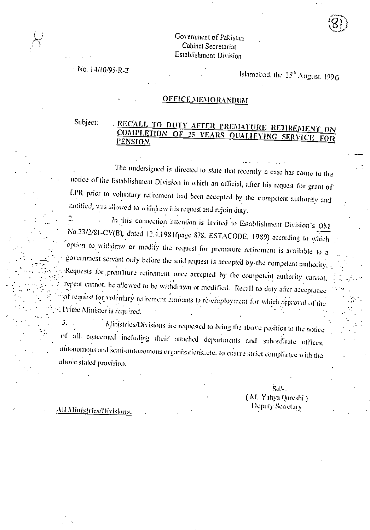#### Government of Pakistan Cabinet Secretariat Establislunent Division

No. 14/10/95-R-2

Islamabad, the 25<sup>th</sup> August, 1996

iXI

 $\mathcal{L} \subset \mathcal{L}$ 

### OFFICE MEMORANDUM

.."

## Subject: ... RECALL TO DUTY AFTER PREMATURE RETIREMENT ON COMPLETION OF 25 YEARS QUALIFYING SERVICE FOR PENSION.

. • The undersigned is directed to state that recently a case has come to the notice of the Establishment Division in which an official, after his request fbr grant of LPR prior to voluntary retirement had been accepted by the competent authority and notified, was allowed to withdraw his request and rejoin duty.

2. • In this connection attention is invited to Establishment Division's ONI No.23/2/81-CV(B), dated 12.4.1981(page 878, ESTACODE, 1989) according to which option to withdraw or modify the request. for premature retirement is available to a government servant only before the said request is accepted by-the competent authority. Requests for premature retirement once accepted by the competent authority cannot, repeat cannot, be allowed to be withdrawn or modified. Recall to duty after acceptance of request for voluntary retirement amounts to re-employment for which approval of the Prince Minister is required.

3. Ministries/Divisions ;ire requested to bring the above position to the notice of all- concerned including their attached departments and sithordinate offices, autonomous and semi-autonomous organizations, etc. to ensure strict compliance with the above stated provision.

> Sd/-. ( NI. Yaliya Qureshi )

All Ministries/Divisions. In the contract of the contract of the Deputy Secietaly